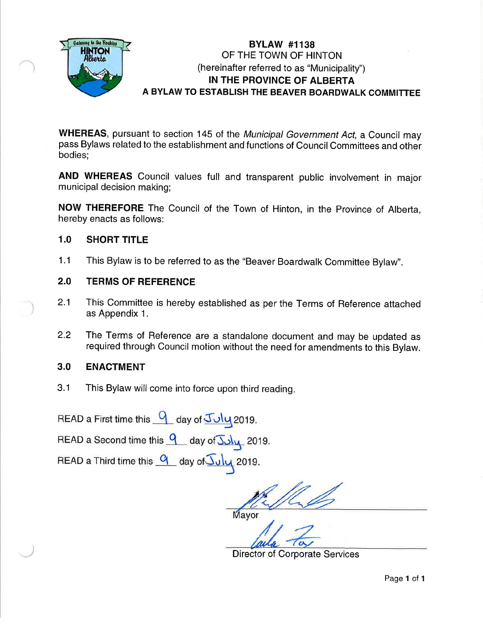

#### BYLAW #1138 OF THE TOWN OF HINTON (hereinafter referred to as "Municipality") IN THE PROVINCE OF ALBERTA A BYLAW TO ESTABLISH THE BEAVER BOARDWALK COMMITTEE

WHEREAS, pursuant to section 145 of the Municipal Government Act, a Council may pass Bylaws related to the establishment and functions of Council Committees and other bodies;

AND WHEREAS Council values full and transparent public involvement in major municipal decision making;

NOW THEREFORE The Council of the Town of Hinton, in the Province of Alberta, hereby enacts as follows:

#### 1.0 SHORT TITLE

1.1 This Bylaw is to be referred to as the "Beaver Boardwalk Committee BylaW'.

#### 2.0 TERMS OF REFERENCE

- 2.1 This Committee is hereby established as per the Terms of Reference attached as Appendix 1.
- 2.2 The Terms of Reference are a standalone document and may be updated as required through Council motion without the need for amendments to this Bylaw.

#### ENACTMENT 3.0

3.1 This Bylaw will come into force upon third reading

READ a First time this q day of  $Joly$  2019.</u>

READ a Second time this 9 day of Suly 2019.

READ a Third time this  $\frac{q}{-}$  day of  $\frac{q}{-}$  2019.

UL D

Mayor

Director of Corporate Services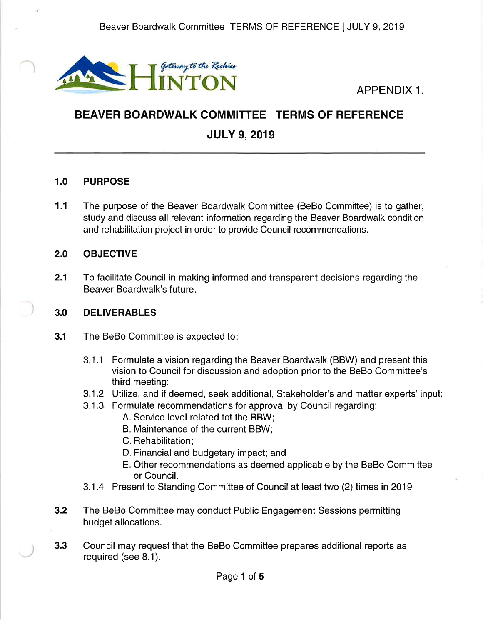

# BEAVER BOARDWALK COMMITTEE TERMS OF REFERENCE JULY 9, 2019

#### 1.0 PURPOSE

The purpose of the Beaver Boardwalk Committee (BeBo Committee) is to gather, study and discuss all relevant information regarding the Beaver Boardwalk condition and rehabilitation project in order to provide Council recommendations. 1.1

#### 2.0 OBJECTIVE

2.1 To facilitate Council in making informed and transparent decisions regarding the Beaver Boardwalk's future.

#### 3.0 DELIVERABLES

- **3.1** The BeBo Committee is expected to:
	- 3.1.1 Formulate a vision regarding the Beaver Boardwalk (BBW) and present this vision to Council for discussion and adoption prior to the BeBo Committee's third meeting;
	- 3.1.2 Utilize, and if deemed, seek additional, Stakeholder's and matter experts' input;
	- 3.1.3 Formulate recommendations for approval by Council regarding:
		- A. Service level related tot the BBW;
		- B. Maintenance of the current BBW;
		- C. Rehabilitation;
		- D. Financial and budgetary impact; and
		- E. Other recommendations as deemed applicable by the BeBo Committee or Council.
	- 3.1.4 Present to Standing Committee of Council at least two (2) times in 2019
- 3.2 The BeBo Committee may conduct Public Engagement Sessions permitting budget allocations.
- 3.3 Council may request that the BeBo Committee prepares additional repofts as required (see 8.1).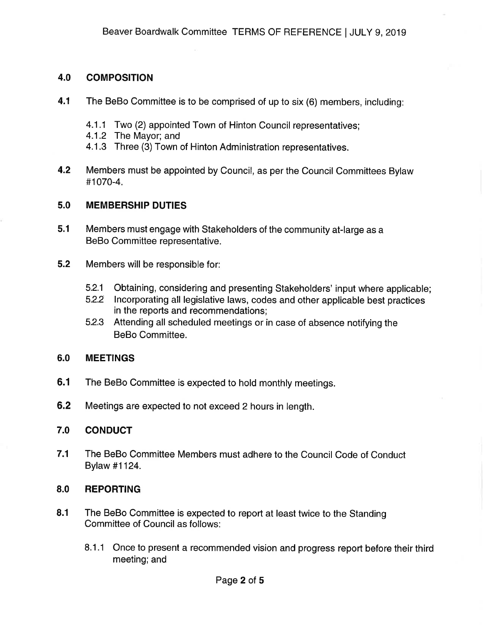#### 4.0 COMPOSITION

- 4.1 The BeBo Committee is to be comprised of up to six (6) members, including:
	- 4.1.1 Two (2) appointed Town of Hinton Council representatives;
	- 4.1.2 The Mayor; and
	- 4.1.3 Three (3) Town of Hinton Administration representatives.
- Members must be appointed by Council, as per the Council Committees Bylaw #1070-4. 4.2

#### 5.0 MEMBERSHIP DUTIES

- 5.1 Members must engage with Stakeholders of the community at-large as a BeBo Committee representative.
- 5.2 Members will be responsible for:
	- 5.2.1 Obtaining, considering and presenting Stakeholders' input where applicable;
	- 5.2.2 Incorporating all legislative laws, codes and other applicable best practices in the reports and recommendations;
	- 5.2.3 Attending all scheduled meetings or in case of absence notifying the BeBo Committee.

#### 6.0 MEETINGS

- 6.1 The BeBo Committee is expected to hold monthly meetings.
- 6.2 Meetings are expected to not exceed 2 hours in length.

#### 7.0 CONDUCT

7.1 The BeBo Committee Members must adhere to the Council Code of Conduct Bylaw #1124.

#### 8.0 REPORTING

- The BeBo Committee is expected to report at least twice to the Standing Committee of Council as follows: 8.1
	- 8.1.1 Once to present a recommended vision and progress report before their third meeting; and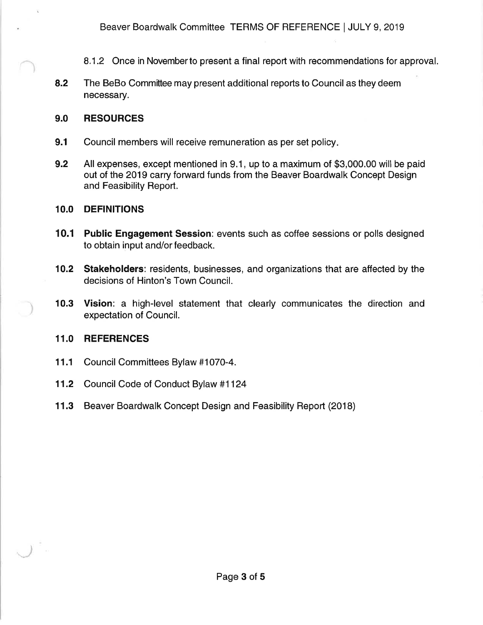- 8.1.2 Once in Novemberto present a final repoft with recommendations for approval.
- 8.2 The BeBo Committee may present additional reports to Council as they deem necessary.

#### 9.0 RESOURCES

- **9.1** Council members will receive remuneration as per set policy.
- 9.2 All expenses, except mentioned in 9.1, up to a maximum of \$3,000.00 will be paid out of the 2019 carry forward funds from the Beaver Boardwalk Concept Design and Feasibility Report.

#### 1O.O DEFINITIONS

- 10.1 Public Engagement Session: events such as coffee sessions or polls designed to obtain input and/or feedback.
- 10.2 Stakeholders: residents, businesses, and organizations that are affected by the decisions of Hinton's Town Council.
- 10.3 Vision: a high-level statement that clearly communicates the direction and expectation of Council.

#### 11.0 REFERENCES

- <sup>1</sup>1.1 Council Committees Bylaw #1070-4.
- 11.2 Council Code of Conduct Bylaw #1124
- 11.3 Beaver Boardwalk Concept Design and Feasibility Report (2018)